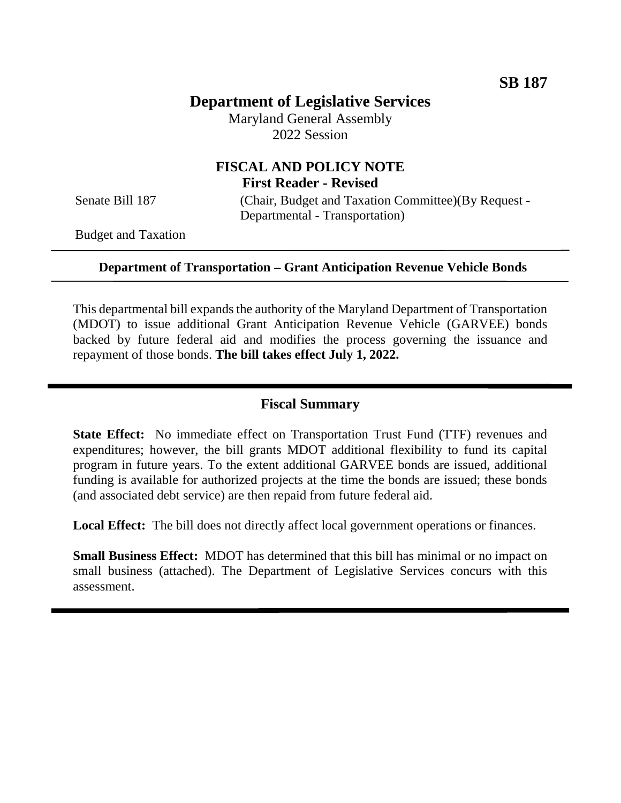# **Department of Legislative Services**

Maryland General Assembly 2022 Session

# **FISCAL AND POLICY NOTE First Reader - Revised**

Senate Bill 187 (Chair, Budget and Taxation Committee)(By Request -Departmental - Transportation)

Budget and Taxation

#### **Department of Transportation – Grant Anticipation Revenue Vehicle Bonds**

This departmental bill expands the authority of the Maryland Department of Transportation (MDOT) to issue additional Grant Anticipation Revenue Vehicle (GARVEE) bonds backed by future federal aid and modifies the process governing the issuance and repayment of those bonds. **The bill takes effect July 1, 2022.** 

#### **Fiscal Summary**

**State Effect:** No immediate effect on Transportation Trust Fund (TTF) revenues and expenditures; however, the bill grants MDOT additional flexibility to fund its capital program in future years. To the extent additional GARVEE bonds are issued, additional funding is available for authorized projects at the time the bonds are issued; these bonds (and associated debt service) are then repaid from future federal aid.

Local Effect: The bill does not directly affect local government operations or finances.

**Small Business Effect:** MDOT has determined that this bill has minimal or no impact on small business (attached). The Department of Legislative Services concurs with this assessment.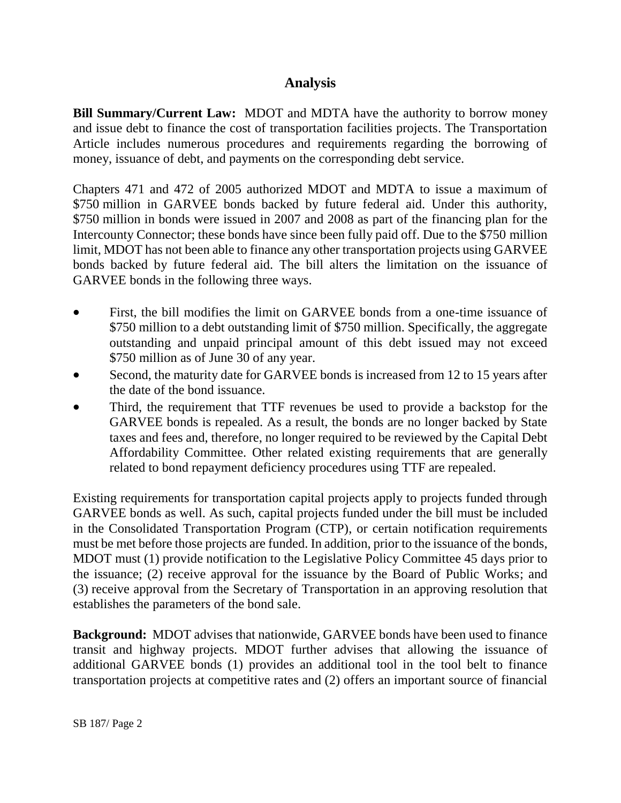# **Analysis**

**Bill Summary/Current Law:** MDOT and MDTA have the authority to borrow money and issue debt to finance the cost of transportation facilities projects. The Transportation Article includes numerous procedures and requirements regarding the borrowing of money, issuance of debt, and payments on the corresponding debt service.

Chapters 471 and 472 of 2005 authorized MDOT and MDTA to issue a maximum of \$750 million in GARVEE bonds backed by future federal aid. Under this authority, \$750 million in bonds were issued in 2007 and 2008 as part of the financing plan for the Intercounty Connector; these bonds have since been fully paid off. Due to the \$750 million limit, MDOT has not been able to finance any other transportation projects using GARVEE bonds backed by future federal aid. The bill alters the limitation on the issuance of GARVEE bonds in the following three ways.

- First, the bill modifies the limit on GARVEE bonds from a one-time issuance of \$750 million to a debt outstanding limit of \$750 million. Specifically, the aggregate outstanding and unpaid principal amount of this debt issued may not exceed \$750 million as of June 30 of any year.
- Second, the maturity date for GARVEE bonds is increased from 12 to 15 years after the date of the bond issuance.
- Third, the requirement that TTF revenues be used to provide a backstop for the GARVEE bonds is repealed. As a result, the bonds are no longer backed by State taxes and fees and, therefore, no longer required to be reviewed by the Capital Debt Affordability Committee. Other related existing requirements that are generally related to bond repayment deficiency procedures using TTF are repealed.

Existing requirements for transportation capital projects apply to projects funded through GARVEE bonds as well. As such, capital projects funded under the bill must be included in the Consolidated Transportation Program (CTP), or certain notification requirements must be met before those projects are funded. In addition, prior to the issuance of the bonds, MDOT must (1) provide notification to the Legislative Policy Committee 45 days prior to the issuance; (2) receive approval for the issuance by the Board of Public Works; and (3) receive approval from the Secretary of Transportation in an approving resolution that establishes the parameters of the bond sale.

**Background:** MDOT advises that nationwide, GARVEE bonds have been used to finance transit and highway projects. MDOT further advises that allowing the issuance of additional GARVEE bonds (1) provides an additional tool in the tool belt to finance transportation projects at competitive rates and (2) offers an important source of financial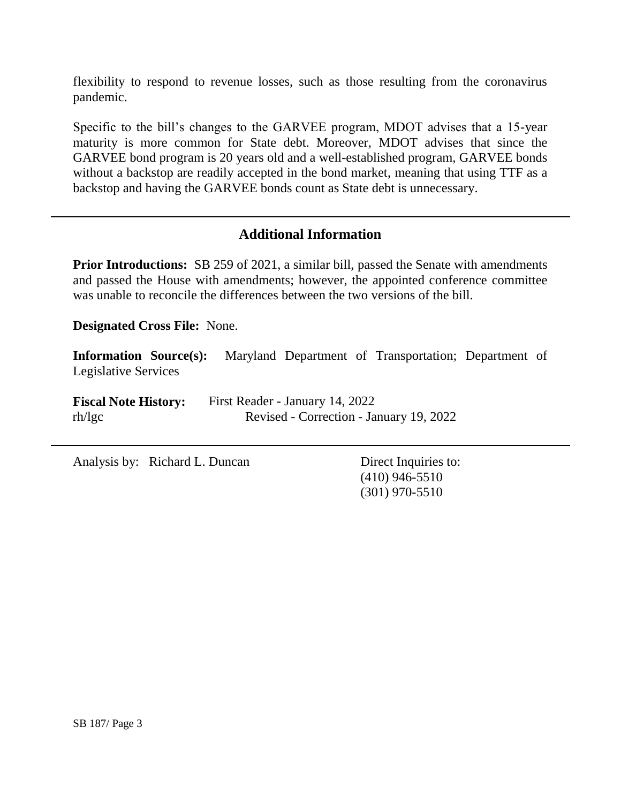flexibility to respond to revenue losses, such as those resulting from the coronavirus pandemic.

Specific to the bill's changes to the GARVEE program, MDOT advises that a 15-year maturity is more common for State debt. Moreover, MDOT advises that since the GARVEE bond program is 20 years old and a well-established program, GARVEE bonds without a backstop are readily accepted in the bond market, meaning that using TTF as a backstop and having the GARVEE bonds count as State debt is unnecessary.

## **Additional Information**

**Prior Introductions:** SB 259 of 2021, a similar bill, passed the Senate with amendments and passed the House with amendments; however, the appointed conference committee was unable to reconcile the differences between the two versions of the bill.

**Designated Cross File:** None.

**Information Source(s):** Maryland Department of Transportation; Department of Legislative Services

**Fiscal Note History:** First Reader - January 14, 2022 rh/lgc Revised - Correction - January 19, 2022

Analysis by: Richard L. Duncan Direct Inquiries to:

(410) 946-5510 (301) 970-5510